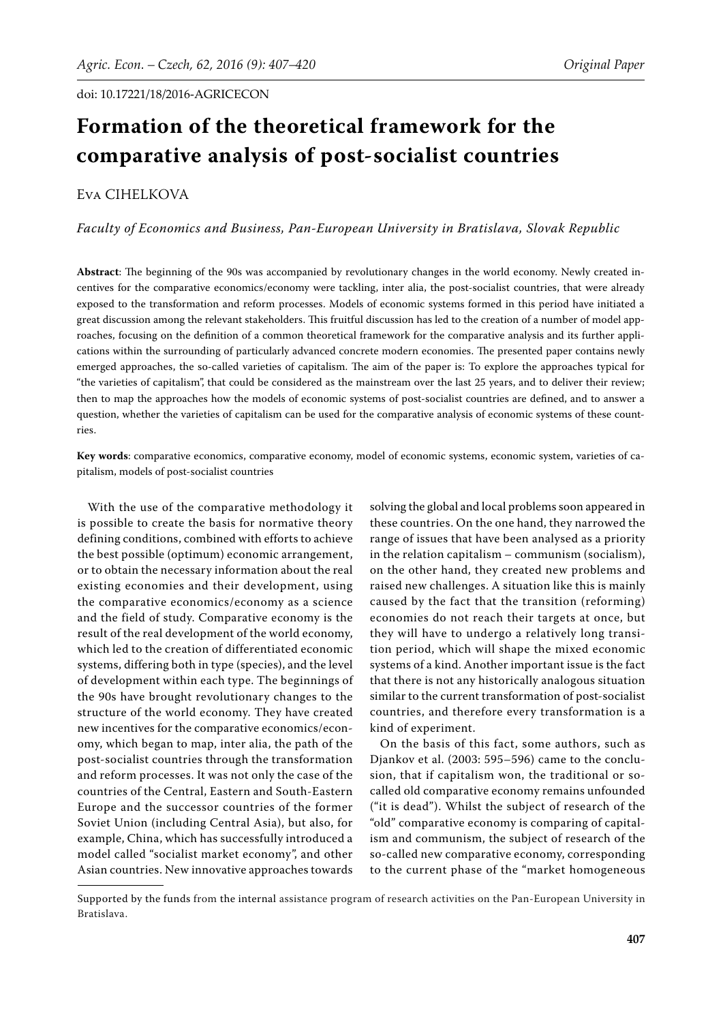# **Formation of the theoretical framework for the comparative analysis of post-socialist countries**

# Eva CIHELKOVA

## *Faculty of Economics and Business, Pan-European University in Bratislava, Slovak Republic*

Abstract: The beginning of the 90s was accompanied by revolutionary changes in the world economy. Newly created incentives for the comparative economics/economy were tackling, inter alia, the post-socialist countries, that were already exposed to the transformation and reform processes. Models of economic systems formed in this period have initiated a great discussion among the relevant stakeholders. This fruitful discussion has led to the creation of a number of model approaches, focusing on the definition of a common theoretical framework for the comparative analysis and its further applications within the surrounding of particularly advanced concrete modern economies. The presented paper contains newly emerged approaches, the so-called varieties of capitalism. The aim of the paper is: To explore the approaches typical for "the varieties of capitalism", that could be considered as the mainstream over the last 25 years, and to deliver their review; then to map the approaches how the models of economic systems of post-socialist countries are defined, and to answer a question, whether the varieties of capitalism can be used for the comparative analysis of economic systems of these countries.

**Key words**: comparative economics, comparative economy, model of economic systems, economic system, varieties of capitalism, models of post-socialist countries

With the use of the comparative methodology it is possible to create the basis for normative theory defining conditions, combined with efforts to achieve the best possible (optimum) economic arrangement, or to obtain the necessary information about the real existing economies and their development, using the comparative economics/economy as a science and the field of study. Comparative economy is the result of the real development of the world economy, which led to the creation of differentiated economic systems, differing both in type (species), and the level of development within each type. The beginnings of the 90s have brought revolutionary changes to the structure of the world economy. They have created new incentives for the comparative economics/economy, which began to map, inter alia, the path of the post-socialist countries through the transformation and reform processes. It was not only the case of the countries of the Central, Eastern and South-Eastern Europe and the successor countries of the former Soviet Union (including Central Asia), but also, for example, China, which has successfully introduced a model called "socialist market economy", and other Asian countries. New innovative approaches towards

solving the global and local problems soon appeared in these countries. On the one hand, they narrowed the range of issues that have been analysed as a priority in the relation capitalism – communism (socialism), on the other hand, they created new problems and raised new challenges. A situation like this is mainly caused by the fact that the transition (reforming) economies do not reach their targets at once, but they will have to undergo a relatively long transition period, which will shape the mixed economic systems of a kind. Another important issue is the fact that there is not any historically analogous situation similar to the current transformation of post-socialist countries, and therefore every transformation is a kind of experiment.

On the basis of this fact, some authors, such as Djankov et al. (2003: 595–596) came to the conclusion, that if capitalism won, the traditional or socalled old comparative economy remains unfounded ("it is dead"). Whilst the subject of research of the "old" comparative economy is comparing of capitalism and communism, the subject of research of the so-called new comparative economy, corresponding to the current phase of the "market homogeneous

Supported by the funds from the internal assistance program of research activities on the Pan-European University in Bratislava.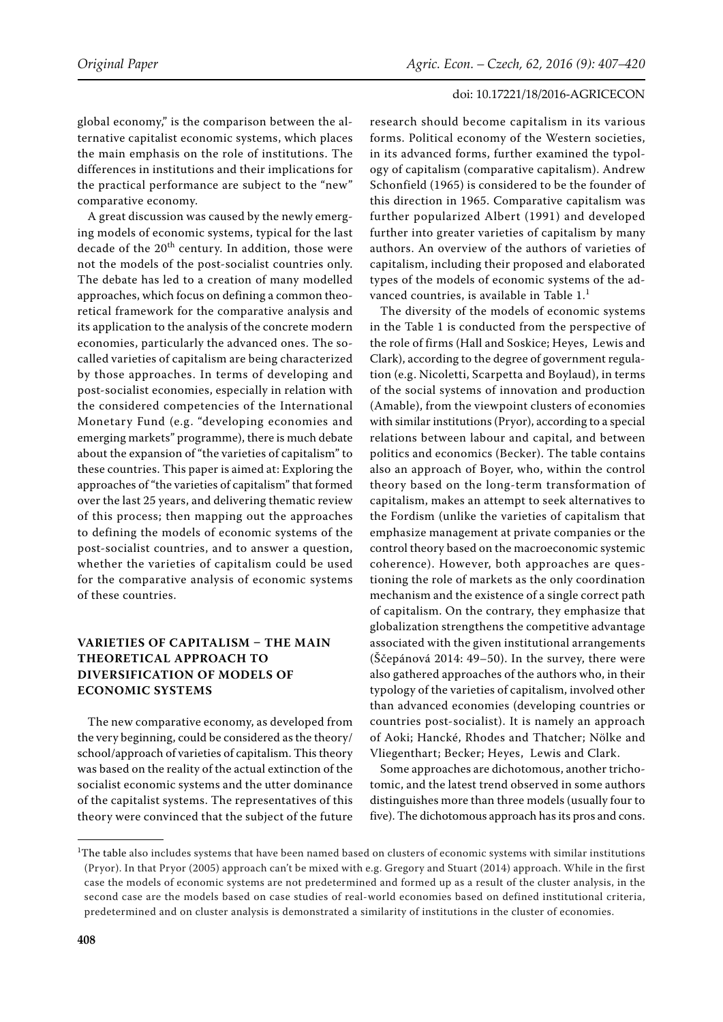global economy," is the comparison between the alternative capitalist economic systems, which places the main emphasis on the role of institutions. The differences in institutions and their implications for the practical performance are subject to the "new" comparative economy.

A great discussion was caused by the newly emerging models of economic systems, typical for the last decade of the 20<sup>th</sup> century. In addition, those were not the models of the post-socialist countries only. The debate has led to a creation of many modelled approaches, which focus on defining a common theoretical framework for the comparative analysis and its application to the analysis of the concrete modern economies, particularly the advanced ones. The socalled varieties of capitalism are being characterized by those approaches. In terms of developing and post-socialist economies, especially in relation with the considered competencies of the International Monetary Fund (e.g. "developing economies and emerging markets" programme), there is much debate about the expansion of "the varieties of capitalism" to these countries. This paper is aimed at: Exploring the approaches of "the varieties of capitalism" that formed over the last 25 years, and delivering thematic review of this process; then mapping out the approaches to defining the models of economic systems of the post-socialist countries, and to answer a question, whether the varieties of capitalism could be used for the comparative analysis of economic systems of these countries.

# **VARIETIES OF CAPITALISM - THE MAIN THEORETICAL APPROACH TO DIVERSIFICATION OF MODELS OF ECONOMIC SYSTEMS**

The new comparative economy, as developed from the very beginning, could be considered as the theory/ school/approach of varieties of capitalism. This theory was based on the reality of the actual extinction of the socialist economic systems and the utter dominance of the capitalist systems. The representatives of this theory were convinced that the subject of the future research should become capitalism in its various forms. Political economy of the Western societies, in its advanced forms, further examined the typology of capitalism (comparative capitalism). Andrew Schonfield (1965) is considered to be the founder of this direction in 1965. Comparative capitalism was further popularized Albert (1991) and developed further into greater varieties of capitalism by many authors. An overview of the authors of varieties of capitalism, including their proposed and elaborated types of the models of economic systems of the advanced countries, is available in Table 1.<sup>1</sup>

The diversity of the models of economic systems in the Table 1 is conducted from the perspective of the role of firms (Hall and Soskice; Heyes, Lewis and Clark), according to the degree of government regulation (e.g. Nicoletti, Scarpetta and Boylaud), in terms of the social systems of innovation and production (Amable), from the viewpoint clusters of economies with similar institutions (Pryor), according to a special relations between labour and capital, and between politics and economics (Becker). The table contains also an approach of Boyer, who, within the control theory based on the long-term transformation of capitalism, makes an attempt to seek alternatives to the Fordism (unlike the varieties of capitalism that emphasize management at private companies or the control theory based on the macroeconomic systemic coherence). However, both approaches are questioning the role of markets as the only coordination mechanism and the existence of a single correct path of capitalism. On the contrary, they emphasize that globalization strengthens the competitive advantage associated with the given institutional arrangements (Ščepánová 2014: 49–50). In the survey, there were also gathered approaches of the authors who, in their typology of the varieties of capitalism, involved other than advanced economies (developing countries or countries post-socialist). It is namely an approach of Aoki; Hancké, Rhodes and Thatcher; Nölke and Vliegenthart; Becker; Heyes, Lewis and Clark.

Some approaches are dichotomous, another trichotomic, and the latest trend observed in some authors distinguishes more than three models (usually four to five). The dichotomous approach has its pros and cons.

<sup>&</sup>lt;sup>1</sup>The table also includes systems that have been named based on clusters of economic systems with similar institutions (Pryor). In that Pryor (2005) approach can't be mixed with e.g. Gregory and Stuart (2014) approach. While in the first case the models of economic systems are not predetermined and formed up as a result of the cluster analysis, in the second case are the models based on case studies of real-world economies based on defined institutional criteria, predetermined and on cluster analysis is demonstrated a similarity of institutions in the cluster of economies.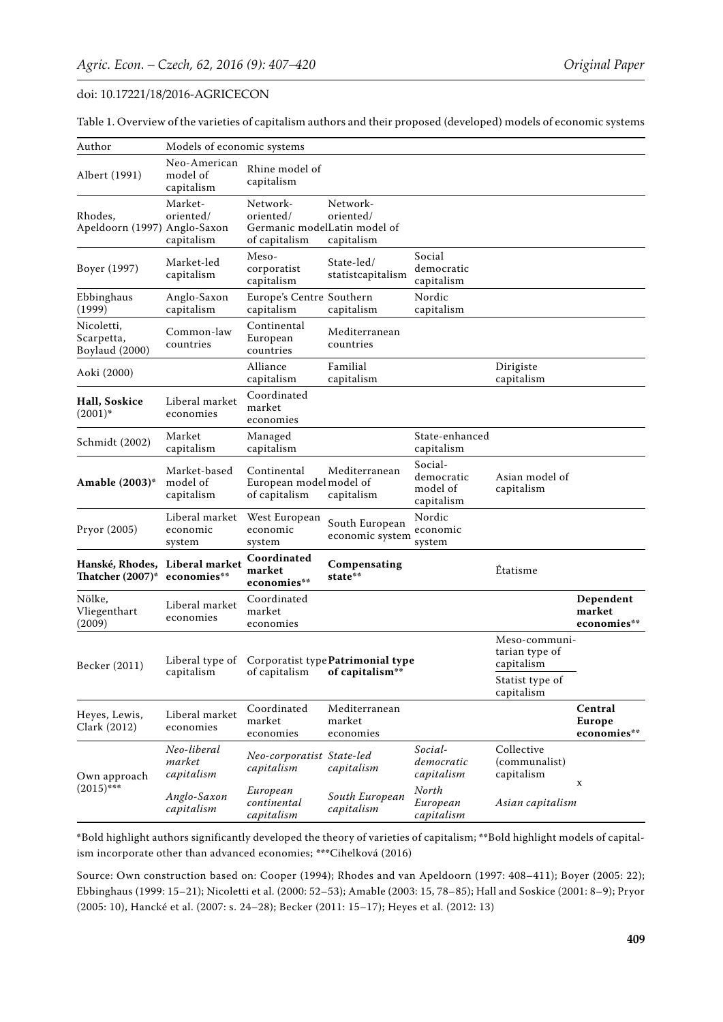| Author                                             | Models of economic systems             |                                                                        |                                                      |                                                 |                                               |                                    |  |  |
|----------------------------------------------------|----------------------------------------|------------------------------------------------------------------------|------------------------------------------------------|-------------------------------------------------|-----------------------------------------------|------------------------------------|--|--|
| Albert (1991)                                      | Neo-American<br>model of<br>capitalism | Rhine model of<br>capitalism                                           |                                                      |                                                 |                                               |                                    |  |  |
| Rhodes,<br>Apeldoorn (1997) Anglo-Saxon            | Market-<br>oriented/<br>capitalism     | Network-<br>oriented/<br>Germanic modelLatin model of<br>of capitalism | Network-<br>oriented/<br>capitalism                  |                                                 |                                               |                                    |  |  |
| Boyer (1997)                                       | Market-led<br>capitalism               | Meso-<br>corporatist<br>capitalism                                     | State-led/<br>statistcapitalism                      | Social<br>democratic<br>capitalism              |                                               |                                    |  |  |
| Ebbinghaus<br>(1999)                               | Anglo-Saxon<br>capitalism              | Europe's Centre Southern<br>capitalism                                 | capitalism                                           | Nordic<br>capitalism                            |                                               |                                    |  |  |
| Nicoletti,<br>Scarpetta,<br>Boylaud (2000)         | Common-law<br>countries                | Continental<br>European<br>countries                                   | Mediterranean<br>countries                           |                                                 |                                               |                                    |  |  |
| Aoki (2000)                                        |                                        | Alliance<br>capitalism                                                 | Familial<br>capitalism                               |                                                 | Dirigiste<br>capitalism                       |                                    |  |  |
| Hall, Soskice<br>$(2001)^*$                        | Liberal market<br>economies            | Coordinated<br>market<br>economies                                     |                                                      |                                                 |                                               |                                    |  |  |
| Schmidt (2002)                                     | Market<br>capitalism                   | Managed<br>capitalism                                                  |                                                      | State-enhanced<br>capitalism                    |                                               |                                    |  |  |
| Amable (2003)*                                     | Market-based<br>model of<br>capitalism | Continental<br>European model model of<br>of capitalism                | Mediterranean<br>capitalism                          | Social-<br>democratic<br>model of<br>capitalism | Asian model of<br>capitalism                  |                                    |  |  |
| Pryor (2005)                                       | Liberal market<br>economic<br>system   | West European<br>economic<br>system                                    | South European<br>economic system                    | Nordic<br>economic<br>system                    |                                               |                                    |  |  |
| Hanské, Rhodes, Liberal market<br>Thatcher (2007)* | economies**                            | Coordinated<br>market<br>economies**                                   | Compensating<br>state**                              |                                                 | Étatisme                                      |                                    |  |  |
| Nölke,<br>Vliegenthart<br>(2009)                   | Liberal market<br>economies            | Coordinated<br>market<br>economies                                     |                                                      |                                                 |                                               | Dependent<br>market<br>economies** |  |  |
| Becker (2011)                                      | Liberal type of<br>capitalism          | of capitalism                                                          | Corporatist type Patrimonial type<br>of capitalism** |                                                 | Meso-communi-<br>tarian type of<br>capitalism |                                    |  |  |
|                                                    |                                        |                                                                        |                                                      |                                                 | Statist type of<br>capitalism                 |                                    |  |  |
| Heyes, Lewis,<br>Clark (2012)                      | Liberal market<br>economies            | Coordinated<br>market<br>economies                                     | Mediterranean<br>market<br>economies                 |                                                 |                                               | Central<br>Europe<br>economies**   |  |  |
| Own approach<br>$(2015)$ ***                       | Neo-liberal<br>market<br>capitalism    | Neo-corporatist State-led<br>capitalism                                | capitalism                                           | Social-<br>democratic<br>capitalism             | Collective<br>(communalist)<br>capitalism     |                                    |  |  |
|                                                    | Anglo-Saxon<br>capitalism              | European<br>continental<br>capitalism                                  | South European<br>capitalism                         | North<br>European<br>capitalism                 | Asian capitalism                              | X                                  |  |  |

Table 1. Overview of the varieties of capitalism authors and their proposed (developed) models of economic systems

**\***Bold highlight authors significantly developed the theory of varieties of capitalism; **\*\***Bold highlight models of capitalism incorporate other than advanced economies; **\*\*\***Cihelková (2016)

Source: Own construction based on: Cooper (1994); Rhodes and van Apeldoorn (1997: 408–411); Boyer (2005: 22); Ebbinghaus (1999: 15–21); Nicoletti et al. (2000: 52–53); Amable (2003: 15, 78–85); Hall and Soskice (2001: 8–9); Pryor (2005: 10), Hancké et al. (2007: s. 24–28); Becker (2011: 15–17); Heyes et al. (2012: 13)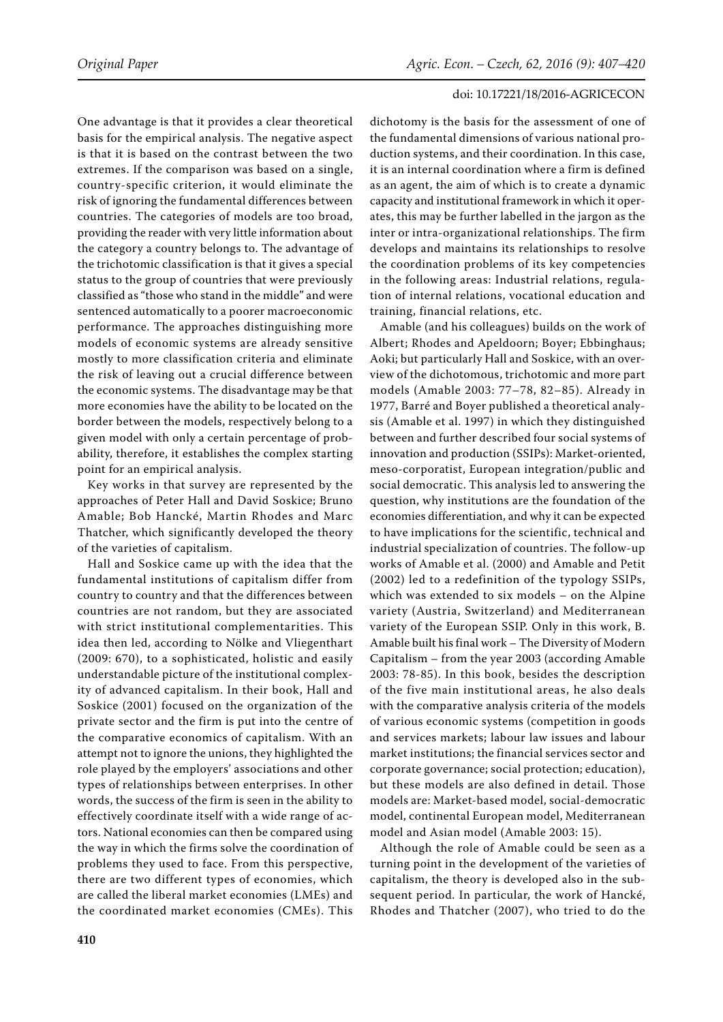One advantage is that it provides a clear theoretical basis for the empirical analysis. The negative aspect is that it is based on the contrast between the two extremes. If the comparison was based on a single, country-specific criterion, it would eliminate the risk of ignoring the fundamental differences between countries. The categories of models are too broad, providing the reader with very little information about the category a country belongs to. The advantage of the trichotomic classification is that it gives a special status to the group of countries that were previously classified as "those who stand in the middle" and were sentenced automatically to a poorer macroeconomic performance. The approaches distinguishing more models of economic systems are already sensitive mostly to more classification criteria and eliminate the risk of leaving out a crucial difference between the economic systems. The disadvantage may be that more economies have the ability to be located on the border between the models, respectively belong to a given model with only a certain percentage of probability, therefore, it establishes the complex starting point for an empirical analysis.

Key works in that survey are represented by the approaches of Peter Hall and David Soskice; Bruno Amable; Bob Hancké, Martin Rhodes and Marc Thatcher, which significantly developed the theory of the varieties of capitalism.

Hall and Soskice came up with the idea that the fundamental institutions of capitalism differ from country to country and that the differences between countries are not random, but they are associated with strict institutional complementarities. This idea then led, according to Nölke and Vliegenthart (2009: 670), to a sophisticated, holistic and easily understandable picture of the institutional complexity of advanced capitalism. In their book, Hall and Soskice (2001) focused on the organization of the private sector and the firm is put into the centre of the comparative economics of capitalism. With an attempt not to ignore the unions, they highlighted the role played by the employers' associations and other types of relationships between enterprises. In other words, the success of the firm is seen in the ability to effectively coordinate itself with a wide range of actors. National economies can then be compared using the way in which the firms solve the coordination of problems they used to face. From this perspective, there are two different types of economies, which are called the liberal market economies (LMEs) and the coordinated market economies (CMEs). This

dichotomy is the basis for the assessment of one of the fundamental dimensions of various national production systems, and their coordination. In this case, it is an internal coordination where a firm is defined as an agent, the aim of which is to create a dynamic capacity and institutional framework in which it operates, this may be further labelled in the jargon as the inter or intra-organizational relationships. The firm develops and maintains its relationships to resolve the coordination problems of its key competencies in the following areas: Industrial relations, regulation of internal relations, vocational education and training, financial relations, etc.

Amable (and his colleagues) builds on the work of Albert; Rhodes and Apeldoorn; Boyer; Ebbinghaus; Aoki; but particularly Hall and Soskice, with an overview of the dichotomous, trichotomic and more part models (Amable 2003: 77–78, 82–85). Already in 1977, Barré and Boyer published a theoretical analysis (Amable et al. 1997) in which they distinguished between and further described four social systems of innovation and production (SSIPs): Market-oriented, meso-corporatist, European integration/public and social democratic. This analysis led to answering the question, why institutions are the foundation of the economies differentiation, and why it can be expected to have implications for the scientific, technical and industrial specialization of countries. The follow-up works of Amable et al. (2000) and Amable and Petit (2002) led to a redefinition of the typology SSIPs, which was extended to six models – on the Alpine variety (Austria, Switzerland) and Mediterranean variety of the European SSIP. Only in this work, B. Amable built his final work – The Diversity of Modern Capitalism – from the year 2003 (according Amable 2003: 78-85). In this book, besides the description of the five main institutional areas, he also deals with the comparative analysis criteria of the models of various economic systems (competition in goods and services markets; labour law issues and labour market institutions; the financial services sector and corporate governance; social protection; education), but these models are also defined in detail. Those models are: Market-based model, social-democratic model, continental European model, Mediterranean model and Asian model (Amable 2003: 15).

Although the role of Amable could be seen as a turning point in the development of the varieties of capitalism, the theory is developed also in the subsequent period. In particular, the work of Hancké, Rhodes and Thatcher (2007), who tried to do the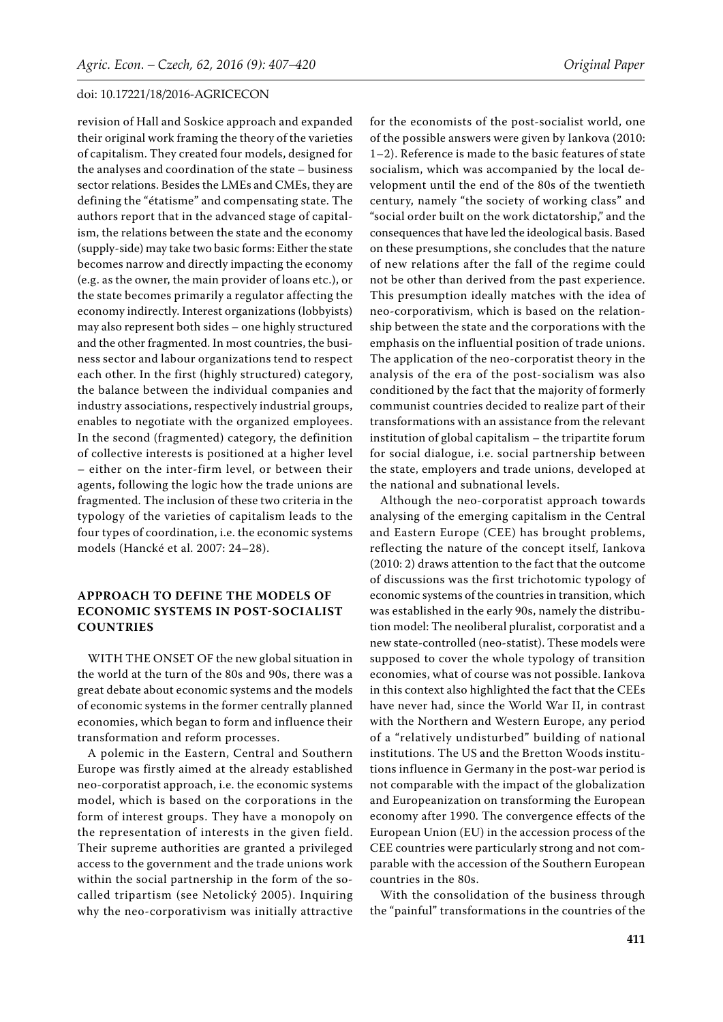revision of Hall and Soskice approach and expanded their original work framing the theory of the varieties of capitalism. They created four models, designed for the analyses and coordination of the state – business sector relations. Besides the LMEs and CMEs, they are defining the "étatisme" and compensating state. The authors report that in the advanced stage of capitalism, the relations between the state and the economy (supply-side) may take two basic forms: Either the state becomes narrow and directly impacting the economy (e.g. as the owner, the main provider of loans etc.), or the state becomes primarily a regulator affecting the economy indirectly. Interest organizations (lobbyists) may also represent both sides – one highly structured and the other fragmented. In most countries, the business sector and labour organizations tend to respect each other. In the first (highly structured) category, the balance between the individual companies and industry associations, respectively industrial groups, enables to negotiate with the organized employees. In the second (fragmented) category, the definition of collective interests is positioned at a higher level – either on the inter-firm level, or between their agents, following the logic how the trade unions are fragmented. The inclusion of these two criteria in the typology of the varieties of capitalism leads to the four types of coordination, i.e. the economic systems models (Hancké et al. 2007: 24–28).

# **APPROACH TO DEFINE THE MODELS OF ECONOMIC SYSTEMS IN POST-SOCIALIST COUNTRIES**

WITH THE ONSET OF the new global situation in the world at the turn of the 80s and 90s, there was a great debate about economic systems and the models of economic systems in the former centrally planned economies, which began to form and influence their transformation and reform processes.

A polemic in the Eastern, Central and Southern Europe was firstly aimed at the already established neo-corporatist approach, i.e. the economic systems model, which is based on the corporations in the form of interest groups. They have a monopoly on the representation of interests in the given field. Their supreme authorities are granted a privileged access to the government and the trade unions work within the social partnership in the form of the socalled tripartism (see Netolický 2005). Inquiring why the neo-corporativism was initially attractive

of the possible answers were given by Iankova (2010: 1–2). Reference is made to the basic features of state socialism, which was accompanied by the local development until the end of the 80s of the twentieth century, namely "the society of working class" and "social order built on the work dictatorship," and the consequences that have led the ideological basis. Based on these presumptions, she concludes that the nature of new relations after the fall of the regime could not be other than derived from the past experience. This presumption ideally matches with the idea of neo-corporativism, which is based on the relationship between the state and the corporations with the emphasis on the influential position of trade unions. The application of the neo-corporatist theory in the analysis of the era of the post-socialism was also conditioned by the fact that the majority of formerly communist countries decided to realize part of their transformations with an assistance from the relevant institution of global capitalism – the tripartite forum for social dialogue, i.e. social partnership between the state, employers and trade unions, developed at the national and subnational levels.

Although the neo-corporatist approach towards analysing of the emerging capitalism in the Central and Eastern Europe (CEE) has brought problems, reflecting the nature of the concept itself, Iankova (2010: 2) draws attention to the fact that the outcome of discussions was the first trichotomic typology of economic systems of the countries in transition, which was established in the early 90s, namely the distribution model: The neoliberal pluralist, corporatist and a new state-controlled (neo-statist). These models were supposed to cover the whole typology of transition economies, what of course was not possible. Iankova in this context also highlighted the fact that the CEEs have never had, since the World War II, in contrast with the Northern and Western Europe, any period of a "relatively undisturbed" building of national institutions. The US and the Bretton Woods institutions influence in Germany in the post-war period is not comparable with the impact of the globalization and Europeanization on transforming the European economy after 1990. The convergence effects of the European Union (EU) in the accession process of the CEE countries were particularly strong and not comparable with the accession of the Southern European countries in the 80s.

With the consolidation of the business through the "painful" transformations in the countries of the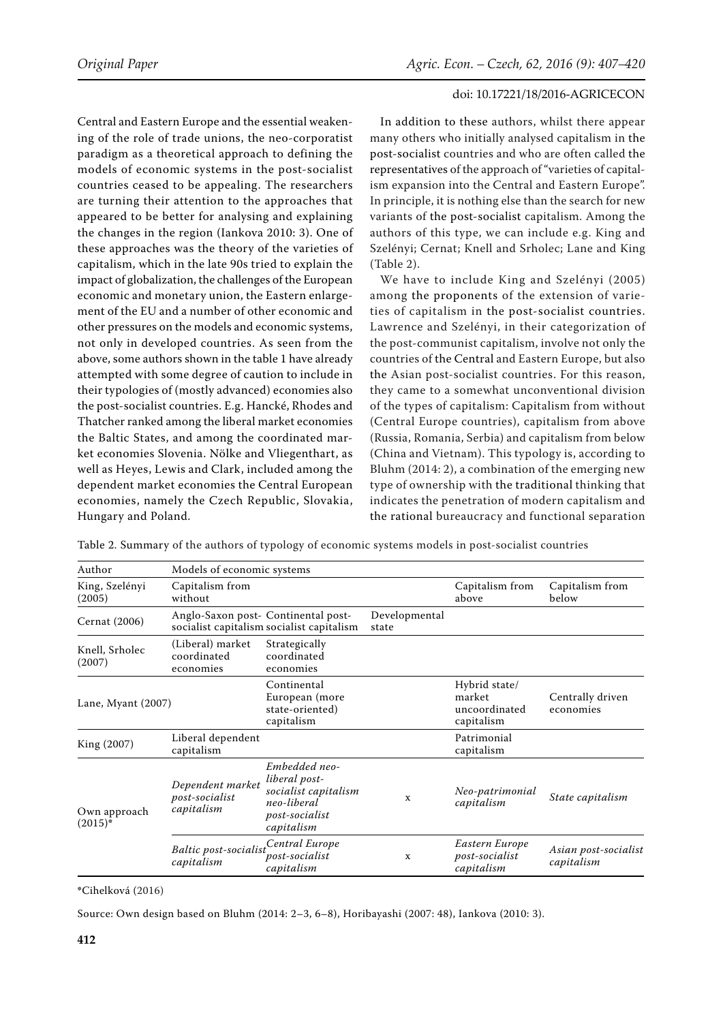Central and Eastern Europe and the essential weakening of the role of trade unions, the neo-corporatist paradigm as a theoretical approach to defining the models of economic systems in the post-socialist countries ceased to be appealing. The researchers are turning their attention to the approaches that appeared to be better for analysing and explaining the changes in the region (Iankova 2010: 3). One of these approaches was the theory of the varieties of capitalism, which in the late 90s tried to explain the impact of globalization, the challenges of the European economic and monetary union, the Eastern enlargement of the EU and a number of other economic and other pressures on the models and economic systems, not only in developed countries. As seen from the above, some authors shown in the table 1 have already attempted with some degree of caution to include in their typologies of (mostly advanced) economies also the post-socialist countries. E.g. Hancké, Rhodes and Thatcher ranked among the liberal market economies the Baltic States, and among the coordinated market economies Slovenia. Nölke and Vliegenthart, as well as Heyes, Lewis and Clark, included among the dependent market economies the Central European economies, namely the Czech Republic, Slovakia, Hungary and Poland.

In addition to these authors, whilst there appear many others who initially analysed capitalism in the post-socialist countries and who are often called the representatives of the approach of "varieties of capitalism expansion into the Central and Eastern Europe". In principle, it is nothing else than the search for new variants of the post-socialist capitalism. Among the authors of this type, we can include e.g. King and Szelényi; Cernat; Knell and Srholec; Lane and King (Table 2).

We have to include King and Szelényi (2005) among the proponents of the extension of varieties of capitalism in the post-socialist countries. Lawrence and Szelényi, in their categorization of the post-communist capitalism, involve not only the countries of the Central and Eastern Europe, but also the Asian post-socialist countries. For this reason, they came to a somewhat unconventional division of the types of capitalism: Capitalism from without (Central Europe countries), capitalism from above (Russia, Romania, Serbia) and capitalism from below (China and Vietnam). This typology is, according to Bluhm (2014: 2), a combination of the emerging new type of ownership with the traditional thinking that indicates the penetration of modern capitalism and the rational bureaucracy and functional separation

| Author                    | Models of economic systems                                                       |                                                                                                              |                        |                                                        |                                    |  |  |  |  |
|---------------------------|----------------------------------------------------------------------------------|--------------------------------------------------------------------------------------------------------------|------------------------|--------------------------------------------------------|------------------------------------|--|--|--|--|
| King, Szelényi<br>(2005)  | Capitalism from<br>without                                                       |                                                                                                              |                        | Capitalism from<br>above                               | Capitalism from<br>below           |  |  |  |  |
| Cernat (2006)             | Anglo-Saxon post- Continental post-<br>socialist capitalism socialist capitalism |                                                                                                              | Developmental<br>state |                                                        |                                    |  |  |  |  |
| Knell, Srholec<br>(2007)  | (Liberal) market<br>coordinated<br>economies                                     | Strategically<br>coordinated<br>economies                                                                    |                        |                                                        |                                    |  |  |  |  |
| Lane, Myant (2007)        |                                                                                  | Continental<br>European (more<br>state-oriented)<br>capitalism                                               |                        | Hybrid state/<br>market<br>uncoordinated<br>capitalism | Centrally driven<br>economies      |  |  |  |  |
| King (2007)               | Liberal dependent<br>capitalism                                                  |                                                                                                              |                        | Patrimonial<br>capitalism                              |                                    |  |  |  |  |
| Own approach<br>$(2015)*$ | Dependent market<br>post-socialist<br>capitalism                                 | Embedded neo-<br>liberal post-<br>socialist capitalism<br>neo-liberal<br><i>post-socialist</i><br>capitalism | $\mathbf{x}$           | Neo-patrimonial<br>capitalism                          | State capitalism                   |  |  |  |  |
|                           | Baltic post-socialistCentral Europe<br>capitalism                                | $\check{\mathit{post-socialist}}$<br>capitalism                                                              | $\mathbf{x}$           | Eastern Europe<br><i>post-socialist</i><br>capitalism  | Asian post-socialist<br>capitalism |  |  |  |  |

**\***Cihelková (2016)

Source: Own design based on Bluhm (2014: 2–3, 6–8), Horibayashi (2007: 48), Iankova (2010: 3).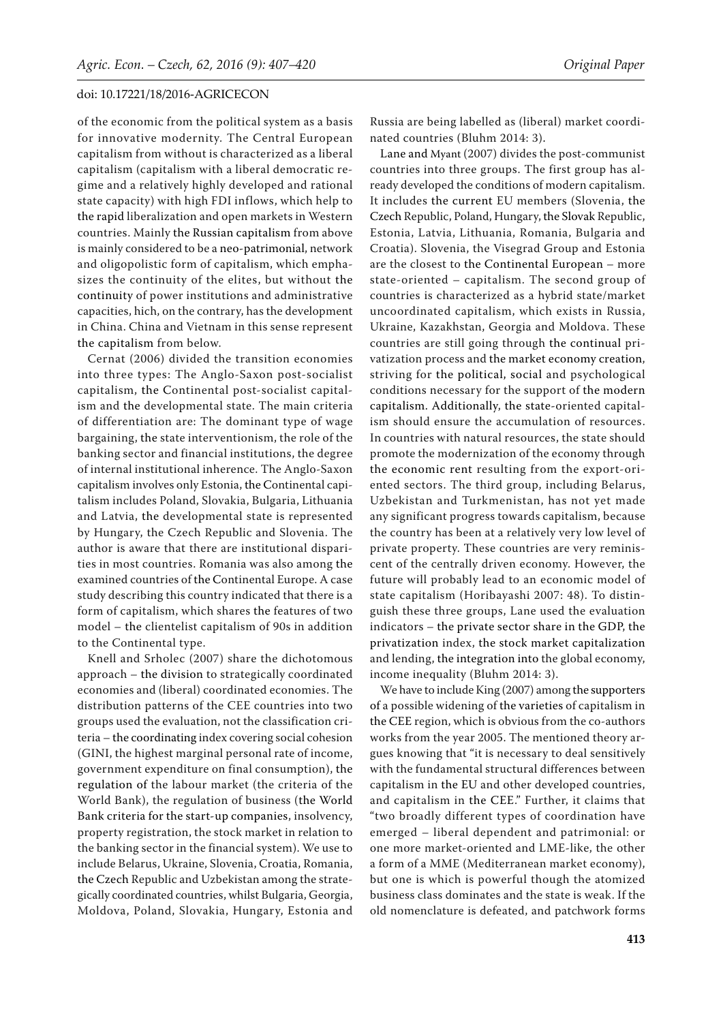of the economic from the political system as a basis for innovative modernity. The Central European capitalism from without is characterized as a liberal capitalism (capitalism with a liberal democratic regime and a relatively highly developed and rational state capacity) with high FDI inflows, which help to the rapid liberalization and open markets in Western countries. Mainly the Russian capitalism from above is mainly considered to be a neo-patrimonial, network and oligopolistic form of capitalism, which emphasizes the continuity of the elites, but without the continuity of power institutions and administrative capacities, hich, on the contrary, has the development in China. China and Vietnam in this sense represent the capitalism from below.

Cernat (2006) divided the transition economies into three types: The Anglo-Saxon post-socialist capitalism, the Continental post-socialist capitalism and the developmental state. The main criteria of differentiation are: The dominant type of wage bargaining, the state interventionism, the role of the banking sector and financial institutions, the degree of internal institutional inherence. The Anglo-Saxon capitalism involves only Estonia, the Continental capitalism includes Poland, Slovakia, Bulgaria, Lithuania and Latvia, the developmental state is represented by Hungary, the Czech Republic and Slovenia. The author is aware that there are institutional disparities in most countries. Romania was also among the examined countries of the Continental Europe. A case study describing this country indicated that there is a form of capitalism, which shares the features of two model – the clientelist capitalism of 90s in addition to the Continental type.

Knell and Srholec (2007) share the dichotomous approach – the division to strategically coordinated economies and (liberal) coordinated economies. The distribution patterns of the CEE countries into two groups used the evaluation, not the classification criteria – the coordinating index covering social cohesion (GINI, the highest marginal personal rate of income, government expenditure on final consumption), the regulation of the labour market (the criteria of the World Bank), the regulation of business (the World Bank criteria for the start-up companies, insolvency, property registration, the stock market in relation to the banking sector in the financial system). We use to include Belarus, Ukraine, Slovenia, Croatia, Romania, the Czech Republic and Uzbekistan among the strategically coordinated countries, whilst Bulgaria, Georgia, Moldova, Poland, Slovakia, Hungary, Estonia and

Russia are being labelled as (liberal) market coordinated countries (Bluhm 2014: 3).

Lane and Myant (2007) divides the post-communist countries into three groups. The first group has already developed the conditions of modern capitalism. It includes the current EU members (Slovenia, the Czech Republic, Poland, Hungary, the Slovak Republic, Estonia, Latvia, Lithuania, Romania, Bulgaria and Croatia). Slovenia, the Visegrad Group and Estonia are the closest to the Continental European – more state-oriented – capitalism. The second group of countries is characterized as a hybrid state/market uncoordinated capitalism, which exists in Russia, Ukraine, Kazakhstan, Georgia and Moldova. These countries are still going through the continual privatization process and the market economy creation, striving for the political, social and psychological conditions necessary for the support of the modern capitalism. Additionally, the state-oriented capitalism should ensure the accumulation of resources. In countries with natural resources, the state should promote the modernization of the economy through the economic rent resulting from the export-oriented sectors. The third group, including Belarus, Uzbekistan and Turkmenistan, has not yet made any significant progress towards capitalism, because the country has been at a relatively very low level of private property. These countries are very reminiscent of the centrally driven economy. However, the future will probably lead to an economic model of state capitalism (Horibayashi 2007: 48). To distinguish these three groups, Lane used the evaluation indicators – the private sector share in the GDP, the privatization index, the stock market capitalization and lending, the integration into the global economy, income inequality (Bluhm 2014: 3).

We have to include King (2007) among the supporters of a possible widening of the varieties of capitalism in the CEE region, which is obvious from the co-authors works from the year 2005. The mentioned theory argues knowing that "it is necessary to deal sensitively with the fundamental structural differences between capitalism in the EU and other developed countries, and capitalism in the CEE." Further, it claims that "two broadly different types of coordination have emerged – liberal dependent and patrimonial: or one more market-oriented and LME-like, the other a form of a MME (Mediterranean market economy), but one is which is powerful though the atomized business class dominates and the state is weak. If the old nomenclature is defeated, and patchwork forms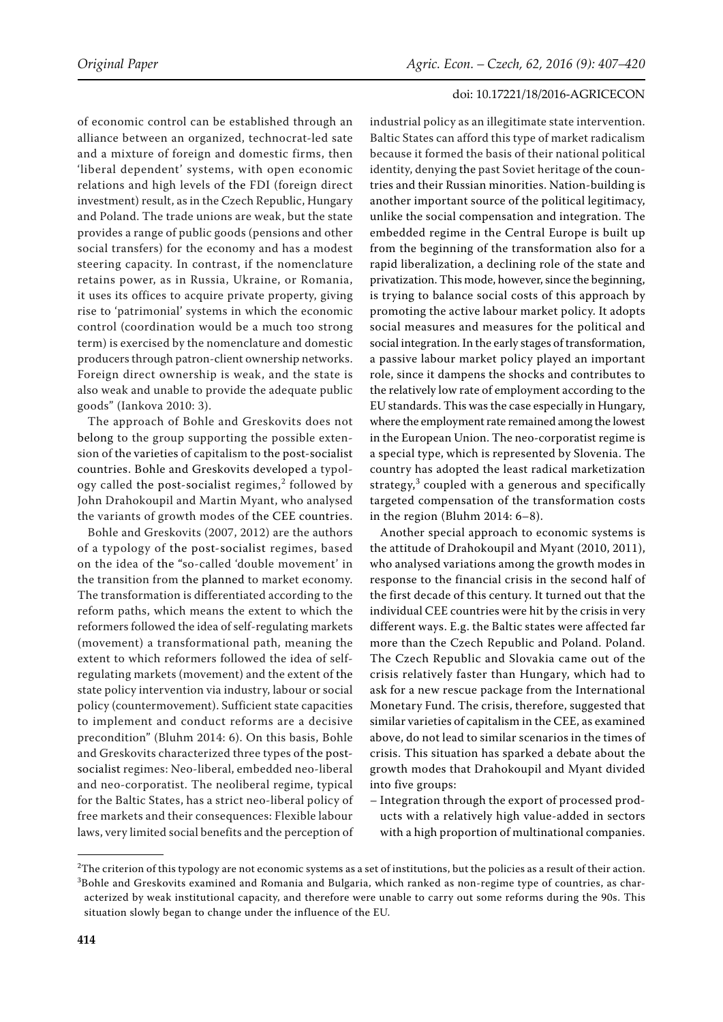of economic control can be established through an alliance between an organized, technocrat-led sate and a mixture of foreign and domestic firms, then 'liberal dependent' systems, with open economic relations and high levels of the FDI (foreign direct investment) result, as in the Czech Republic, Hungary and Poland. The trade unions are weak, but the state provides a range of public goods (pensions and other social transfers) for the economy and has a modest steering capacity. In contrast, if the nomenclature retains power, as in Russia, Ukraine, or Romania, it uses its offices to acquire private property, giving rise to 'patrimonial' systems in which the economic control (coordination would be a much too strong term) is exercised by the nomenclature and domestic producers through patron-client ownership networks. Foreign direct ownership is weak, and the state is also weak and unable to provide the adequate public goods" (Iankova 2010: 3).

The approach of Bohle and Greskovits does not belong to the group supporting the possible extension of the varieties of capitalism to the post-socialist countries. Bohle and Greskovits developed a typology called the post-socialist regimes,<sup>2</sup> followed by John Drahokoupil and Martin Myant, who analysed the variants of growth modes of the CEE countries.

Bohle and Greskovits (2007, 2012) are the authors of a typology of the post-socialist regimes, based on the idea of the "so-called 'double movement' in the transition from the planned to market economy. The transformation is differentiated according to the reform paths, which means the extent to which the reformers followed the idea of self-regulating markets (movement) a transformational path, meaning the extent to which reformers followed the idea of selfregulating markets (movement) and the extent of the state policy intervention via industry, labour or social policy (countermovement). Sufficient state capacities to implement and conduct reforms are a decisive precondition" (Bluhm 2014: 6). On this basis, Bohle and Greskovits characterized three types of the postsocialist regimes: Neo-liberal, embedded neo-liberal and neo-corporatist. The neoliberal regime, typical for the Baltic States, has a strict neo-liberal policy of free markets and their consequences: Flexible labour laws, very limited social benefits and the perception of

industrial policy as an illegitimate state intervention. Baltic States can afford this type of market radicalism because it formed the basis of their national political identity, denying the past Soviet heritage of the countries and their Russian minorities. Nation-building is another important source of the political legitimacy, unlike the social compensation and integration. The embedded regime in the Central Europe is built up from the beginning of the transformation also for a rapid liberalization, a declining role of the state and privatization. This mode, however, since the beginning, is trying to balance social costs of this approach by promoting the active labour market policy. It adopts social measures and measures for the political and social integration. In the early stages of transformation, a passive labour market policy played an important role, since it dampens the shocks and contributes to the relatively low rate of employment according to the EU standards. This was the case especially in Hungary, where the employment rate remained among the lowest in the European Union. The neo-corporatist regime is a special type, which is represented by Slovenia. The country has adopted the least radical marketization strategy,<sup>3</sup> coupled with a generous and specifically targeted compensation of the transformation costs in the region (Bluhm 2014: 6–8).

Another special approach to economic systems is the attitude of Drahokoupil and Myant (2010, 2011), who analysed variations among the growth modes in response to the financial crisis in the second half of the first decade of this century. It turned out that the individual CEE countries were hit by the crisis in very different ways. E.g. the Baltic states were affected far more than the Czech Republic and Poland. Poland. The Czech Republic and Slovakia came out of the crisis relatively faster than Hungary, which had to ask for a new rescue package from the International Monetary Fund. The crisis, therefore, suggested that similar varieties of capitalism in the CEE, as examined above, do not lead to similar scenarios in the times of crisis. This situation has sparked a debate about the growth modes that Drahokoupil and Myant divided into five groups:

– Integration through the export of processed products with a relatively high value-added in sectors with a high proportion of multinational companies.

 $^2$ The criterion of this typology are not economic systems as a set of institutions, but the policies as a result of their action.  $^3$ Bohle and Greskovits examined and Romania and Bulgaria, which ranked as non-regime type of countries, as characterized by weak institutional capacity, and therefore were unable to carry out some reforms during the 90s. This situation slowly began to change under the influence of the EU.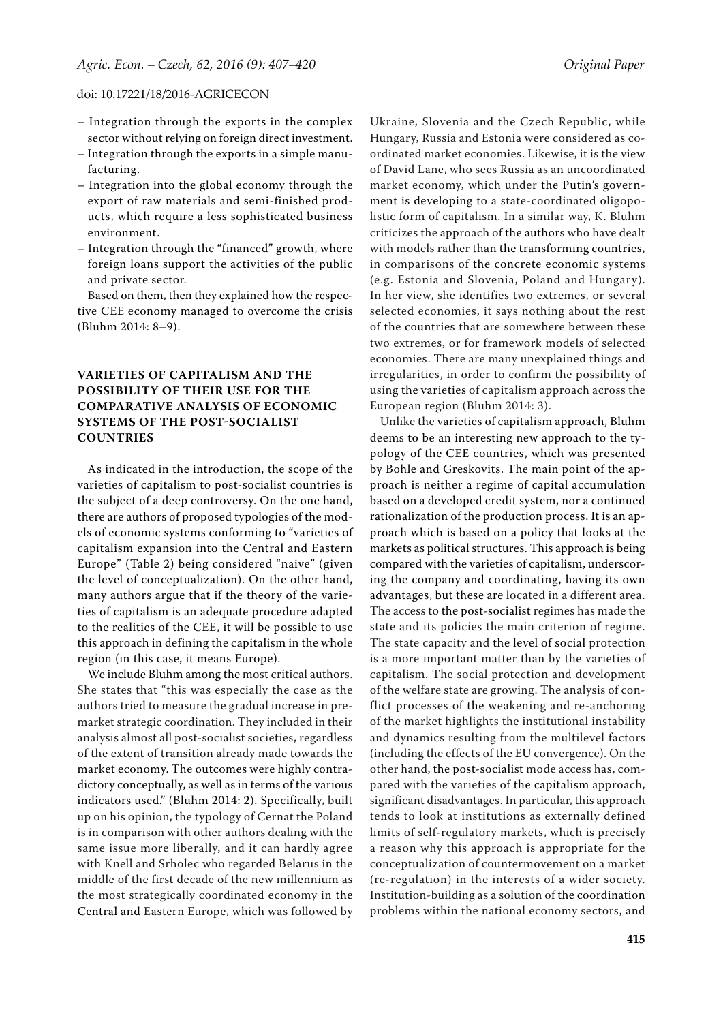- Integration through the exports in the complex sector without relying on foreign direct investment.
- Integration through the exports in a simple manufacturing.
- Integration into the global economy through the export of raw materials and semi-finished products, which require a less sophisticated business environment.
- Integration through the "financed" growth, where foreign loans support the activities of the public and private sector.

Based on them, then they explained how the respective CEE economy managed to overcome the crisis (Bluhm 2014: 8–9).

# **VARIETIES OF CAPITALISM AND THE POSSIBILITY OF THEIR USE FOR THE COMPARATIVE ANALYSIS OF ECONOMIC SYSTEMS OF THE POST-SOCIALIST COUNTRIES**

As indicated in the introduction, the scope of the varieties of capitalism to post-socialist countries is the subject of a deep controversy. On the one hand, there are authors of proposed typologies of the models of economic systems conforming to "varieties of capitalism expansion into the Central and Eastern Europe" (Table 2) being considered "naive" (given the level of conceptualization). On the other hand, many authors argue that if the theory of the varieties of capitalism is an adequate procedure adapted to the realities of the CEE, it will be possible to use this approach in defining the capitalism in the whole region (in this case, it means Europe).

We include Bluhm among the most critical authors. She states that "this was especially the case as the authors tried to measure the gradual increase in premarket strategic coordination. They included in their analysis almost all post-socialist societies, regardless of the extent of transition already made towards the market economy. The outcomes were highly contradictory conceptually, as well as in terms of the various indicators used." (Bluhm 2014: 2). Specifically, built up on his opinion, the typology of Cernat the Poland is in comparison with other authors dealing with the same issue more liberally, and it can hardly agree with Knell and Srholec who regarded Belarus in the middle of the first decade of the new millennium as the most strategically coordinated economy in the Central and Eastern Europe, which was followed by

Ukraine, Slovenia and the Czech Republic, while Hungary, Russia and Estonia were considered as coordinated market economies. Likewise, it is the view of David Lane, who sees Russia as an uncoordinated market economy, which under the Putin's government is developing to a state-coordinated oligopolistic form of capitalism. In a similar way, K. Bluhm criticizes the approach of the authors who have dealt with models rather than the transforming countries, in comparisons of the concrete economic systems (e.g. Estonia and Slovenia, Poland and Hungary). In her view, she identifies two extremes, or several selected economies, it says nothing about the rest of the countries that are somewhere between these two extremes, or for framework models of selected economies. There are many unexplained things and irregularities, in order to confirm the possibility of using the varieties of capitalism approach across the European region (Bluhm 2014: 3).

Unlike the varieties of capitalism approach, Bluhm deems to be an interesting new approach to the typology of the CEE countries, which was presented by Bohle and Greskovits. The main point of the approach is neither a regime of capital accumulation based on a developed credit system, nor a continued rationalization of the production process. It is an approach which is based on a policy that looks at the markets as political structures. This approach is being compared with the varieties of capitalism, underscoring the company and coordinating, having its own advantages, but these are located in a different area. The access to the post-socialist regimes has made the state and its policies the main criterion of regime. The state capacity and the level of social protection is a more important matter than by the varieties of capitalism. The social protection and development of the welfare state are growing. The analysis of conflict processes of the weakening and re-anchoring of the market highlights the institutional instability and dynamics resulting from the multilevel factors (including the effects of the EU convergence). On the other hand, the post-socialist mode access has, compared with the varieties of the capitalism approach, significant disadvantages. In particular, this approach tends to look at institutions as externally defined limits of self-regulatory markets, which is precisely a reason why this approach is appropriate for the conceptualization of countermovement on a market (re-regulation) in the interests of a wider society. Institution-building as a solution of the coordination problems within the national economy sectors, and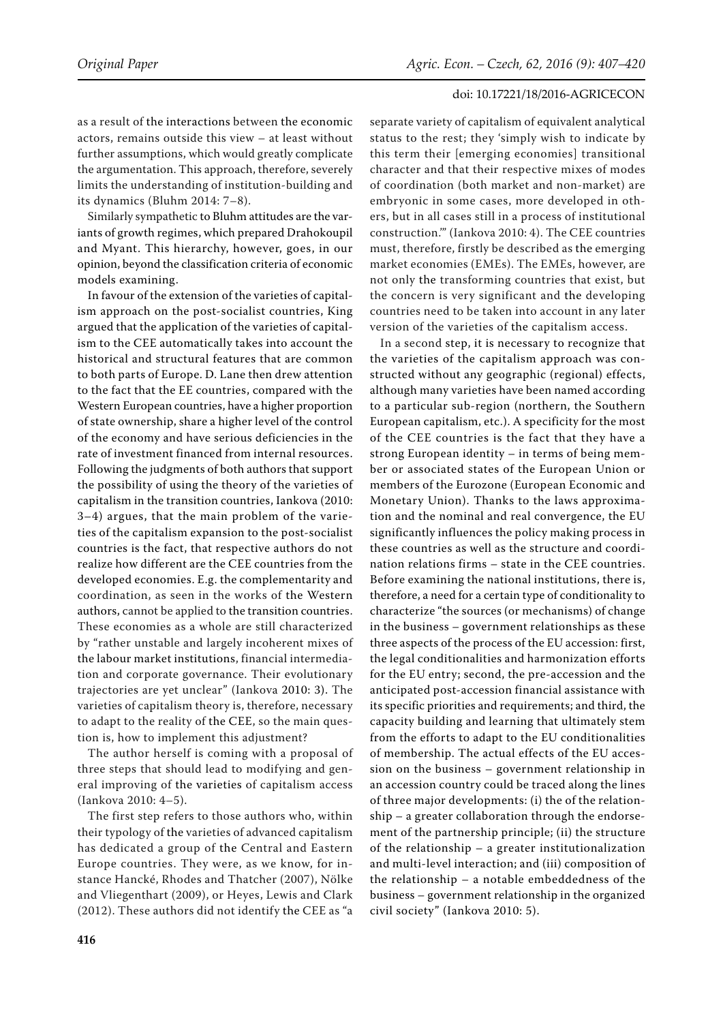as a result of the interactions between the economic actors, remains outside this view – at least without further assumptions, which would greatly complicate the argumentation. This approach, therefore, severely limits the understanding of institution-building and its dynamics (Bluhm 2014: 7–8).

Similarly sympathetic to Bluhm attitudes are the variants of growth regimes, which prepared Drahokoupil and Myant. This hierarchy, however, goes, in our opinion, beyond the classification criteria of economic models examining.

In favour of the extension of the varieties of capitalism approach on the post-socialist countries, King argued that the application of the varieties of capitalism to the CEE automatically takes into account the historical and structural features that are common to both parts of Europe. D. Lane then drew attention to the fact that the EE countries, compared with the Western European countries, have a higher proportion of state ownership, share a higher level of the control of the economy and have serious deficiencies in the rate of investment financed from internal resources. Following the judgments of both authors that support the possibility of using the theory of the varieties of capitalism in the transition countries, Iankova (2010: 3–4) argues, that the main problem of the varieties of the capitalism expansion to the post-socialist countries is the fact, that respective authors do not realize how different are the CEE countries from the developed economies. E.g. the complementarity and coordination, as seen in the works of the Western authors, cannot be applied to the transition countries. These economies as a whole are still characterized by "rather unstable and largely incoherent mixes of the labour market institutions, financial intermediation and corporate governance. Their evolutionary trajectories are yet unclear" (Iankova 2010: 3). The varieties of capitalism theory is, therefore, necessary to adapt to the reality of the CEE, so the main question is, how to implement this adjustment?

The author herself is coming with a proposal of three steps that should lead to modifying and general improving of the varieties of capitalism access (Iankova 2010: 4–5).

The first step refers to those authors who, within their typology of the varieties of advanced capitalism has dedicated a group of the Central and Eastern Europe countries. They were, as we know, for instance Hancké, Rhodes and Thatcher (2007), Nölke and Vliegenthart (2009), or Heyes, Lewis and Clark (2012). These authors did not identify the CEE as "a

separate variety of capitalism of equivalent analytical status to the rest; they 'simply wish to indicate by this term their [emerging economies] transitional character and that their respective mixes of modes of coordination (both market and non-market) are embryonic in some cases, more developed in others, but in all cases still in a process of institutional construction.'" (Iankova 2010: 4). The CEE countries must, therefore, firstly be described as the emerging market economies (EMEs). The EMEs, however, are not only the transforming countries that exist, but the concern is very significant and the developing countries need to be taken into account in any later version of the varieties of the capitalism access.

In a second step, it is necessary to recognize that the varieties of the capitalism approach was constructed without any geographic (regional) effects, although many varieties have been named according to a particular sub-region (northern, the Southern European capitalism, etc.). A specificity for the most of the CEE countries is the fact that they have a strong European identity – in terms of being member or associated states of the European Union or members of the Eurozone (European Economic and Monetary Union). Thanks to the laws approximation and the nominal and real convergence, the EU significantly influences the policy making process in these countries as well as the structure and coordination relations firms – state in the CEE countries. Before examining the national institutions, there is, therefore, a need for a certain type of conditionality to characterize "the sources (or mechanisms) of change in the business – government relationships as these three aspects of the process of the EU accession: first, the legal conditionalities and harmonization efforts for the EU entry; second, the pre-accession and the anticipated post-accession financial assistance with its specific priorities and requirements; and third, the capacity building and learning that ultimately stem from the efforts to adapt to the EU conditionalities of membership. The actual effects of the EU accession on the business – government relationship in an accession country could be traced along the lines of three major developments: (i) the of the relationship – a greater collaboration through the endorsement of the partnership principle; (ii) the structure of the relationship – a greater institutionalization and multi-level interaction; and (iii) composition of the relationship – a notable embeddedness of the business – government relationship in the organized civil society" (Iankova 2010: 5).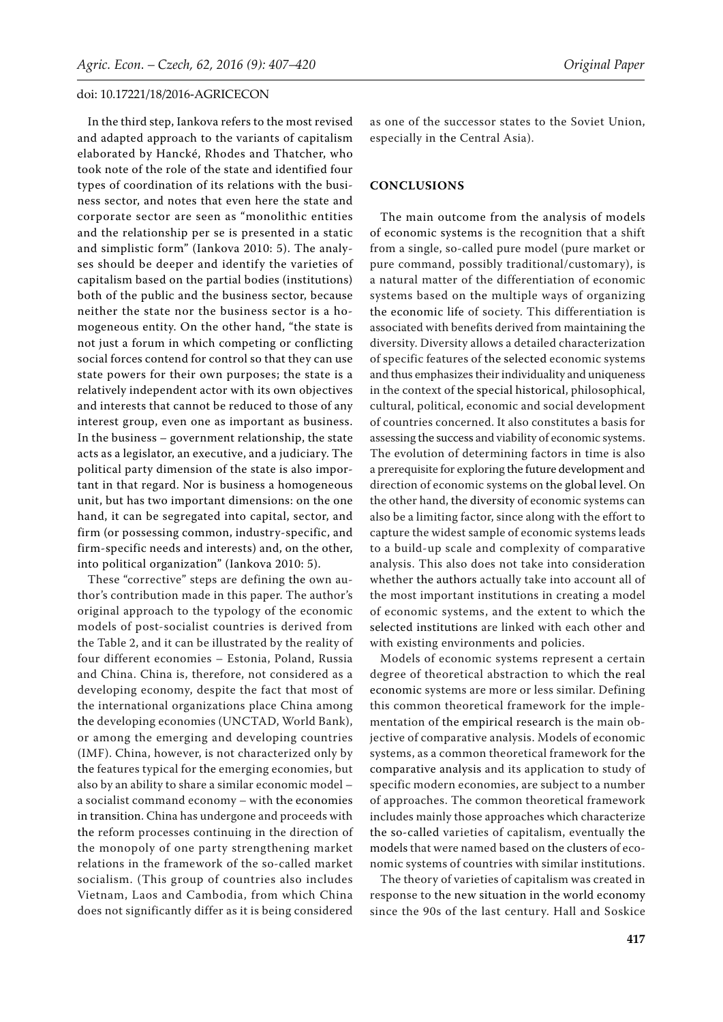In the third step, Iankova refers to the most revised and adapted approach to the variants of capitalism elaborated by Hancké, Rhodes and Thatcher, who took note of the role of the state and identified four types of coordination of its relations with the business sector, and notes that even here the state and corporate sector are seen as "monolithic entities and the relationship per se is presented in a static and simplistic form" (Iankova 2010: 5). The analyses should be deeper and identify the varieties of capitalism based on the partial bodies (institutions) both of the public and the business sector, because neither the state nor the business sector is a homogeneous entity. On the other hand, "the state is not just a forum in which competing or conflicting social forces contend for control so that they can use state powers for their own purposes; the state is a relatively independent actor with its own objectives and interests that cannot be reduced to those of any interest group, even one as important as business. In the business – government relationship, the state acts as a legislator, an executive, and a judiciary. The political party dimension of the state is also important in that regard. Nor is business a homogeneous unit, but has two important dimensions: on the one hand, it can be segregated into capital, sector, and firm (or possessing common, industry-specific, and firm-specific needs and interests) and, on the other, into political organization" (Iankova 2010: 5).

These "corrective" steps are defining the own author's contribution made in this paper. The author's original approach to the typology of the economic models of post-socialist countries is derived from the Table 2, and it can be illustrated by the reality of four different economies – Estonia, Poland, Russia and China. China is, therefore, not considered as a developing economy, despite the fact that most of the international organizations place China among the developing economies (UNCTAD, World Bank), or among the emerging and developing countries (IMF). China, however, is not characterized only by the features typical for the emerging economies, but also by an ability to share a similar economic model – a socialist command economy – with the economies in transition. China has undergone and proceeds with the reform processes continuing in the direction of the monopoly of one party strengthening market relations in the framework of the so-called market socialism. (This group of countries also includes Vietnam, Laos and Cambodia, from which China does not significantly differ as it is being considered as one of the successor states to the Soviet Union, especially in the Central Asia).

## **CONCLUSIONS**

The main outcome from the analysis of models of economic systems is the recognition that a shift from a single, so-called pure model (pure market or pure command, possibly traditional/customary), is a natural matter of the differentiation of economic systems based on the multiple ways of organizing the economic life of society. This differentiation is associated with benefits derived from maintaining the diversity. Diversity allows a detailed characterization of specific features of the selected economic systems and thus emphasizes their individuality and uniqueness in the context of the special historical, philosophical, cultural, political, economic and social development of countries concerned. It also constitutes a basis for assessing the success and viability of economic systems. The evolution of determining factors in time is also a prerequisite for exploring the future development and direction of economic systems on the global level. On the other hand, the diversity of economic systems can also be a limiting factor, since along with the effort to capture the widest sample of economic systems leads to a build-up scale and complexity of comparative analysis. This also does not take into consideration whether the authors actually take into account all of the most important institutions in creating a model of economic systems, and the extent to which the selected institutions are linked with each other and with existing environments and policies.

Models of economic systems represent a certain degree of theoretical abstraction to which the real economic systems are more or less similar. Defining this common theoretical framework for the implementation of the empirical research is the main objective of comparative analysis. Models of economic systems, as a common theoretical framework for the comparative analysis and its application to study of specific modern economies, are subject to a number of approaches. The common theoretical framework includes mainly those approaches which characterize the so-called varieties of capitalism, eventually the models that were named based on the clusters of economic systems of countries with similar institutions.

The theory of varieties of capitalism was created in response to the new situation in the world economy since the 90s of the last century. Hall and Soskice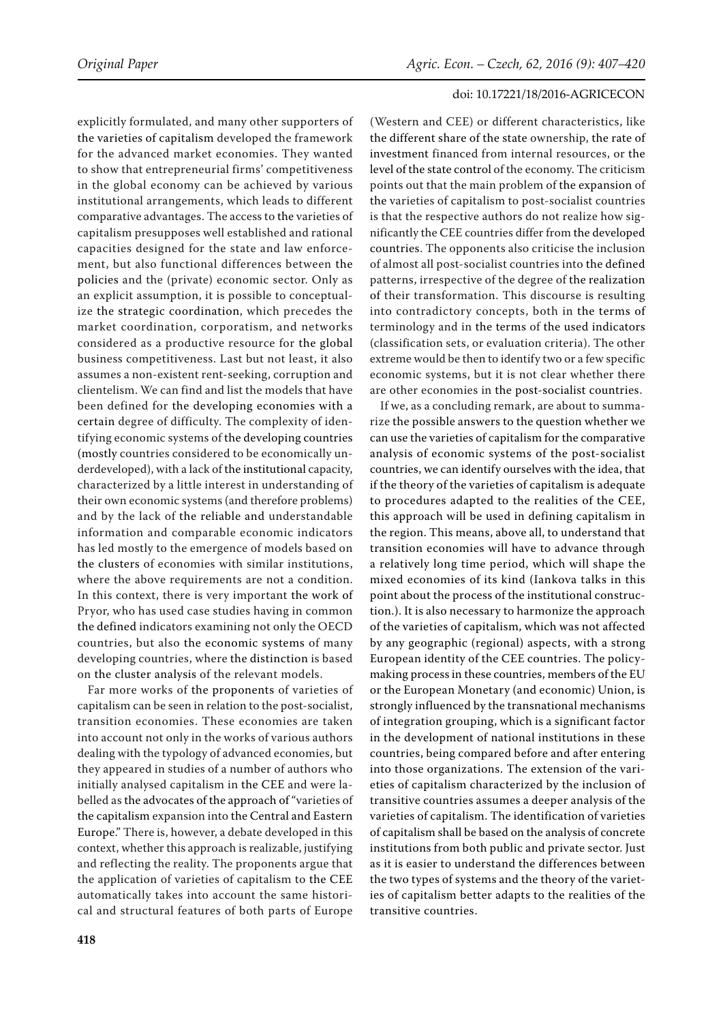explicitly formulated, and many other supporters of the varieties of capitalism developed the framework for the advanced market economies. They wanted to show that entrepreneurial firms' competitiveness in the global economy can be achieved by various institutional arrangements, which leads to different comparative advantages. The access to the varieties of capitalism presupposes well established and rational capacities designed for the state and law enforcement, but also functional differences between the policies and the (private) economic sector. Only as an explicit assumption, it is possible to conceptualize the strategic coordination, which precedes the market coordination, corporatism, and networks considered as a productive resource for the global business competitiveness. Last but not least, it also assumes a non-existent rent-seeking, corruption and clientelism. We can find and list the models that have been defined for the developing economies with a certain degree of difficulty. The complexity of identifying economic systems of the developing countries (mostly countries considered to be economically underdeveloped), with a lack of the institutional capacity, characterized by a little interest in understanding of their own economic systems (and therefore problems) and by the lack of the reliable and understandable information and comparable economic indicators has led mostly to the emergence of models based on the clusters of economies with similar institutions, where the above requirements are not a condition. In this context, there is very important the work of Pryor, who has used case studies having in common the defined indicators examining not only the OECD countries, but also the economic systems of many developing countries, where the distinction is based on the cluster analysis of the relevant models.

Far more works of the proponents of varieties of capitalism can be seen in relation to the post-socialist, transition economies. These economies are taken into account not only in the works of various authors dealing with the typology of advanced economies, but they appeared in studies of a number of authors who initially analysed capitalism in the CEE and were labelled as the advocates of the approach of "varieties of the capitalism expansion into the Central and Eastern Europe." There is, however, a debate developed in this context, whether this approach is realizable, justifying and reflecting the reality. The proponents argue that the application of varieties of capitalism to the CEE automatically takes into account the same historical and structural features of both parts of Europe

(Western and CEE) or different characteristics, like the different share of the state ownership, the rate of investment financed from internal resources, or the level of the state control of the economy. The criticism points out that the main problem of the expansion of the varieties of capitalism to post-socialist countries is that the respective authors do not realize how significantly the CEE countries differ from the developed countries. The opponents also criticise the inclusion of almost all post-socialist countries into the defined patterns, irrespective of the degree of the realization of their transformation. This discourse is resulting into contradictory concepts, both in the terms of terminology and in the terms of the used indicators (classification sets, or evaluation criteria). The other extreme would be then to identify two or a few specific economic systems, but it is not clear whether there are other economies in the post-socialist countries.

If we, as a concluding remark, are about to summarize the possible answers to the question whether we can use the varieties of capitalism for the comparative analysis of economic systems of the post-socialist countries, we can identify ourselves with the idea, that if the theory of the varieties of capitalism is adequate to procedures adapted to the realities of the CEE, this approach will be used in defining capitalism in the region. This means, above all, to understand that transition economies will have to advance through a relatively long time period, which will shape the mixed economies of its kind (Iankova talks in this point about the process of the institutional construction.). It is also necessary to harmonize the approach of the varieties of capitalism, which was not affected by any geographic (regional) aspects, with a strong European identity of the CEE countries. The policymaking process in these countries, members of the EU or the European Monetary (and economic) Union, is strongly influenced by the transnational mechanisms of integration grouping, which is a significant factor in the development of national institutions in these countries, being compared before and after entering into those organizations. The extension of the varieties of capitalism characterized by the inclusion of transitive countries assumes a deeper analysis of the varieties of capitalism. The identification of varieties of capitalism shall be based on the analysis of concrete institutions from both public and private sector. Just as it is easier to understand the differences between the two types of systems and the theory of the varieties of capitalism better adapts to the realities of the transitive countries.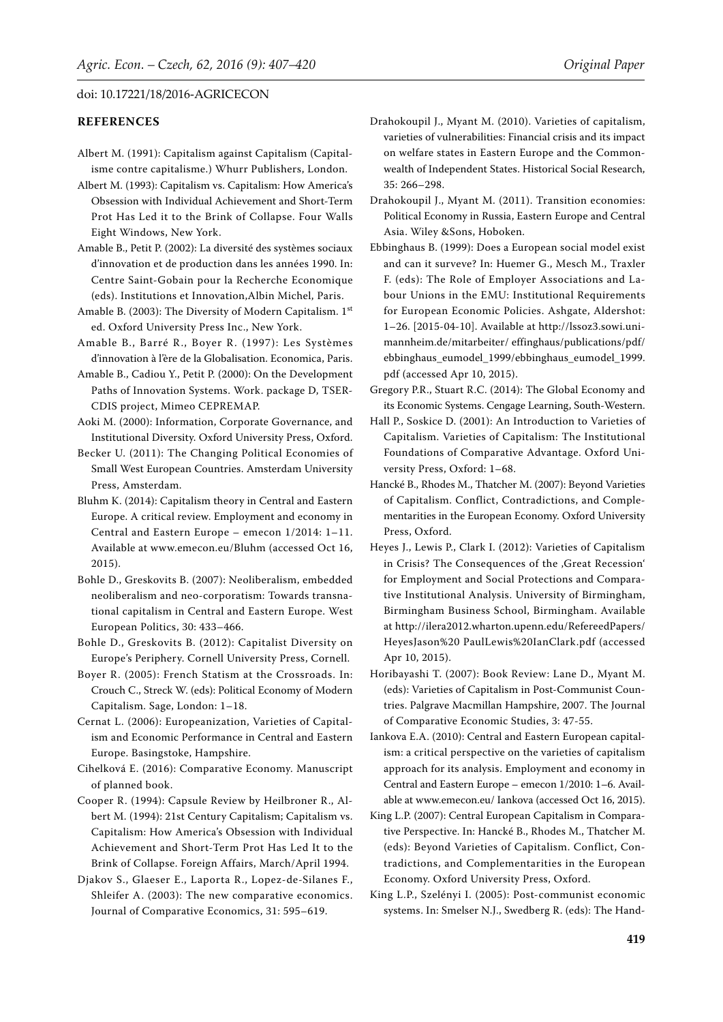#### **REFERENCES**

- Albert M. (1991): Capitalism against Capitalism (Capitalisme contre capitalisme.) Whurr Publishers, London.
- Albert M. (1993): Capitalism vs. Capitalism: How America's Obsession with Individual Achievement and Short-Term Prot Has Led it to the Brink of Collapse. Four Walls Eight Windows, New York.
- Amable B., Petit P. (2002): La diversité des systèmes sociaux d'innovation et de production dans les années 1990. In: Centre Saint-Gobain pour la Recherche Economique (eds). Institutions et Innovation,Albin Michel, Paris.
- Amable B. (2003): The Diversity of Modern Capitalism. 1st ed. Oxford University Press Inc., New York.
- Amable B., Barré R., Boyer R. (1997): Les Systèmes d'innovation à l'ère de la Globalisation. Economica, Paris.
- Amable B., Cadiou Y., Petit P. (2000): On the Development Paths of Innovation Systems. Work. package D, TSER-CDIS project, Mimeo CEPREMAP.
- Aoki M. (2000): Information, Corporate Governance, and Institutional Diversity. Oxford University Press, Oxford.
- Becker U. (2011): The Changing Political Economies of Small West European Countries. Amsterdam University Press, Amsterdam.
- Bluhm K. (2014): Capitalism theory in Central and Eastern Europe. A critical review. Employment and economy in Central and Eastern Europe – emecon 1/2014: 1–11. Available at www.emecon.eu/Bluhm (accessed Oct 16, 2015).
- Bohle D., Greskovits B. (2007): Neoliberalism, embedded neoliberalism and neo-corporatism: Towards transnational capitalism in Central and Eastern Europe. West European Politics, 30: 433–466.
- Bohle D., Greskovits B. (2012): Capitalist Diversity on Europe's Periphery. Cornell University Press, Cornell.
- Boyer R. (2005): French Statism at the Crossroads. In: Crouch C., Streck W. (eds): Political Economy of Modern Capitalism. Sage, London: 1–18.
- Cernat L. (2006): Europeanization, Varieties of Capitalism and Economic Performance in Central and Eastern Europe. Basingstoke, Hampshire.
- Cihelková E. (2016): Comparative Economy. Manuscript of planned book.
- Cooper R. (1994): Capsule Review by Heilbroner R., Albert M. (1994): 21st Century Capitalism; Capitalism vs. Capitalism: How America's Obsession with Individual Achievement and Short-Term Prot Has Led It to the Brink of Collapse. Foreign Affairs, March/April 1994.
- Djakov S., Glaeser E., Laporta R., Lopez-de-Silanes F., Shleifer A. (2003): The new comparative economics. Journal of Comparative Economics, 31: 595–619.
- Drahokoupil J., Myant M. (2010). Varieties of capitalism, varieties of vulnerabilities: Financial crisis and its impact on welfare states in Eastern Europe and the Commonwealth of Independent States. Historical Social Research, 35: 266–298.
- Drahokoupil J., Myant M. (2011). Transition economies: Political Economy in Russia, Eastern Europe and Central Asia. Wiley &Sons, Hoboken.
- Ebbinghaus B. (1999): Does a European social model exist and can it surveve? In: Huemer G., Mesch M., Traxler F. (eds): The Role of Employer Associations and Labour Unions in the EMU: Institutional Requirements for European Economic Policies. Ashgate, Aldershot: 1–26. [2015-04-10]. Available at http://lssoz3.sowi.unimannheim.de/mitarbeiter/ effinghaus/publications/pdf/ ebbinghaus\_eumodel\_1999/ebbinghaus\_eumodel\_1999. pdf (accessed Apr 10, 2015).
- Gregory P.R., Stuart R.C. (2014): The Global Economy and its Economic Systems. Cengage Learning, South-Western.
- Hall P., Soskice D. (2001): An Introduction to Varieties of Capitalism. Varieties of Capitalism: The Institutional Foundations of Comparative Advantage. Oxford University Press, Oxford: 1–68.
- Hancké B., Rhodes M., Thatcher M. (2007): Beyond Varieties of Capitalism. Conflict, Contradictions, and Complementarities in the European Economy. Oxford University Press, Oxford.
- Heyes J., Lewis P., Clark I. (2012): Varieties of Capitalism in Crisis? The Consequences of the ,Great Recession' for Employment and Social Protections and Comparative Institutional Analysis. University of Birmingham, Birmingham Business School, Birmingham. Available at http://ilera2012.wharton.upenn.edu/RefereedPapers/ HeyesJason%20 PaulLewis%20IanClark.pdf (accessed Apr 10, 2015).
- Horibayashi T. (2007): Book Review: Lane D., Myant M. (eds): Varieties of Capitalism in Post-Communist Countries. Palgrave Macmillan Hampshire, 2007. The Journal of Comparative Economic Studies, 3: 47-55.
- Iankova E.A. (2010): Central and Eastern European capitalism: a critical perspective on the varieties of capitalism approach for its analysis. Employment and economy in Central and Eastern Europe – emecon 1/2010: 1–6. Available at www.emecon.eu/ Iankova (accessed Oct 16, 2015).
- King L.P. (2007): Central European Capitalism in Comparative Perspective. In: Hancké B., Rhodes M., Thatcher M. (eds): Beyond Varieties of Capitalism. Conflict, Contradictions, and Complementarities in the European Economy. Oxford University Press, Oxford.
- King L.P., Szelényi I. (2005): Post-communist economic systems. In: Smelser N.J., Swedberg R. (eds): The Hand-